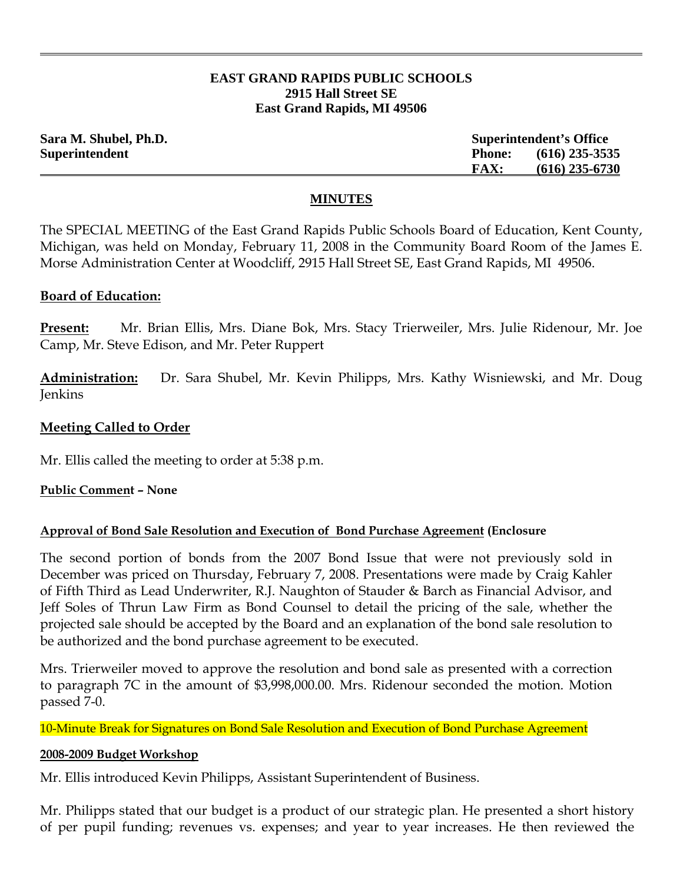## **EAST GRAND RAPIDS PUBLIC SCHOOLS 2915 Hall Street SE East Grand Rapids, MI 49506**

| Sara M. Shubel, Ph.D. |               | <b>Superintendent's Office</b> |  |
|-----------------------|---------------|--------------------------------|--|
| Superintendent        | <b>Phone:</b> | $(616)$ 235-3535               |  |
|                       | <b>FAX:</b>   | $(616)$ 235-6730               |  |

### **MINUTES**

The SPECIAL MEETING of the East Grand Rapids Public Schools Board of Education, Kent County, Michigan, was held on Monday, February 11, 2008 in the Community Board Room of the James E. Morse Administration Center at Woodcliff, 2915 Hall Street SE, East Grand Rapids, MI 49506.

### **Board of Education:**

**Present:** Mr. Brian Ellis, Mrs. Diane Bok, Mrs. Stacy Trierweiler, Mrs. Julie Ridenour, Mr. Joe Camp, Mr. Steve Edison, and Mr. Peter Ruppert

**Administration:** Dr. Sara Shubel, Mr. Kevin Philipps, Mrs. Kathy Wisniewski, and Mr. Doug Jenkins

## **Meeting Called to Order**

Mr. Ellis called the meeting to order at 5:38 p.m.

**Public Comment – None**

## **Approval of Bond Sale Resolution and Execution of Bond Purchase Agreement (Enclosure**

The second portion of bonds from the 2007 Bond Issue that were not previously sold in December was priced on Thursday, February 7, 2008. Presentations were made by Craig Kahler of Fifth Third as Lead Underwriter, R.J. Naughton of Stauder & Barch as Financial Advisor, and Jeff Soles of Thrun Law Firm as Bond Counsel to detail the pricing of the sale, whether the projected sale should be accepted by the Board and an explanation of the bond sale resolution to be authorized and the bond purchase agreement to be executed.

Mrs. Trierweiler moved to approve the resolution and bond sale as presented with a correction to paragraph 7C in the amount of \$3,998,000.00. Mrs. Ridenour seconded the motion. Motion passed 7-0.

10-Minute Break for Signatures on Bond Sale Resolution and Execution of Bond Purchase Agreement

#### **2008-2009 Budget Workshop**

Mr. Ellis introduced Kevin Philipps, Assistant Superintendent of Business.

Mr. Philipps stated that our budget is a product of our strategic plan. He presented a short history of per pupil funding; revenues vs. expenses; and year to year increases. He then reviewed the